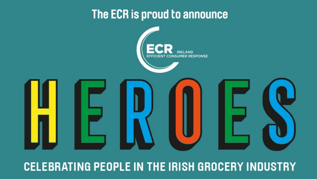# The ECR is proud to announce



# **CELEBRATING PEOPLE IN THE IRISH GROCERY INDUSTRY**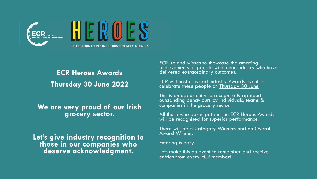

**ECR Heroes Awards Thursday 30 June 2022**

**We are very proud of our Irish grocery sector.**

**Let's give industry recognition to those in our companies who deserve acknowledgment.** 

ECR Ireland wishes to showcase the amazing achievements of people within our industry who have delivered extraordinary outcomes.

ECR will host a hybrid industry Awards event to celebrate these people on Thursday 30 June

This is an opportunity to recognise & applaud outstanding behaviours by individuals, teams & companies in the grocery sector.

All those who participate in the ECR Heroes Awards will be recognised for superior performance.

There will be 5 Category Winners and an Overall Award Winner.

Entering is easy.

Lets make this an event to remember and receive entries from every ECR member!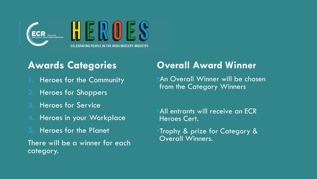

## **Awards Categories**

- 1. Heroes for the Community
- 2. Heroes for Shoppers
- 3. Heroes for Service
- 4. Heroes in your Workplace
- 5. Heroes for the Planet

There will be a winner for each category.

## **Overall Award Winner**

•An Overall Winner will be chosen from the Category Winners

•All entrants will receive an ECR Heroes Cert.

•Trophy & prize for Category & Overall Winners.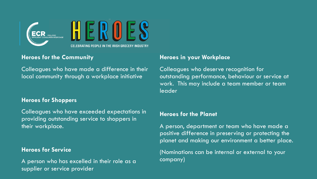



#### **Heroes for the Community**

Colleagues who have made a difference in their local community through a workplace initiative

#### **Heroes for Shoppers**

Colleagues who have exceeded expectations in providing outstanding service to shoppers in their workplace.

#### **Heroes for Service**

A person who has excelled in their role as a supplier or service provider

#### **Heroes in your Workplace**

Colleagues who deserve recognition for outstanding performance, behaviour or service at work. This may include a team member or team leader

#### **Heroes for the Planet**

A person, department or team who have made a positive difference in preserving or protecting the planet and making our environment a better place.

(Nominations can be internal or external to your company)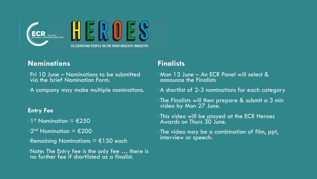

### **Nominations**

- •Fri 10 June Nominations to be submitted via the brief Nomination Form.
- •A company may make multiple nominations.

#### **Entry Fee**

- $1<sup>st</sup>$  Nomination =  $£250$
- $\Phi$ 2<sup>nd</sup> Nomination = €200
- Remaining Nominations =  $\epsilon$ 150 each
- •Note: The Entry fee is the only fee … there is no further fee if shortlisted as a finalist.

### **Finalists**

•Mon 13 June – An ECR Panel will select & announce the Finalists

•A shortlist of 2-3 nominations for each category

The Finalists will then prepare  $\&$  submit a  $3$  min video by Mon 27 June.

•This video will be played at the ECR Heroes Awards on Thurs 30 June.

•The video may be a combination of film, ppt, interview or speech.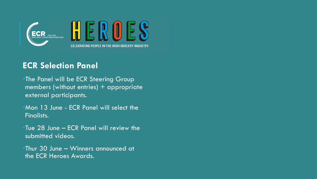

### **ECR Selection Panel**

•The Panel will be ECR Steering Group members (without entries) + appropriate external participants.

•Mon 13 June - ECR Panel will select the Finalists.

•Tue 28 June – ECR Panel will review the submitted videos.

•Thur 30 June – Winners announced at the ECR Heroes Awards.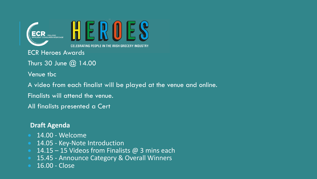

ECR Heroes Awards

Thurs 30 June @ 14.00

Venue tbc

A video from each finalist will be played at the venue and online.

Finalists will attend the venue.

All finalists presented a Cert

#### **Draft Agenda**

- 14.00 Welcome
- 14.05 Key-Note Introduction
- 14.15 15 Videos from Finalists  $@$  3 mins each
- 15.45 Announce Category & Overall Winners
- 16.00 Close